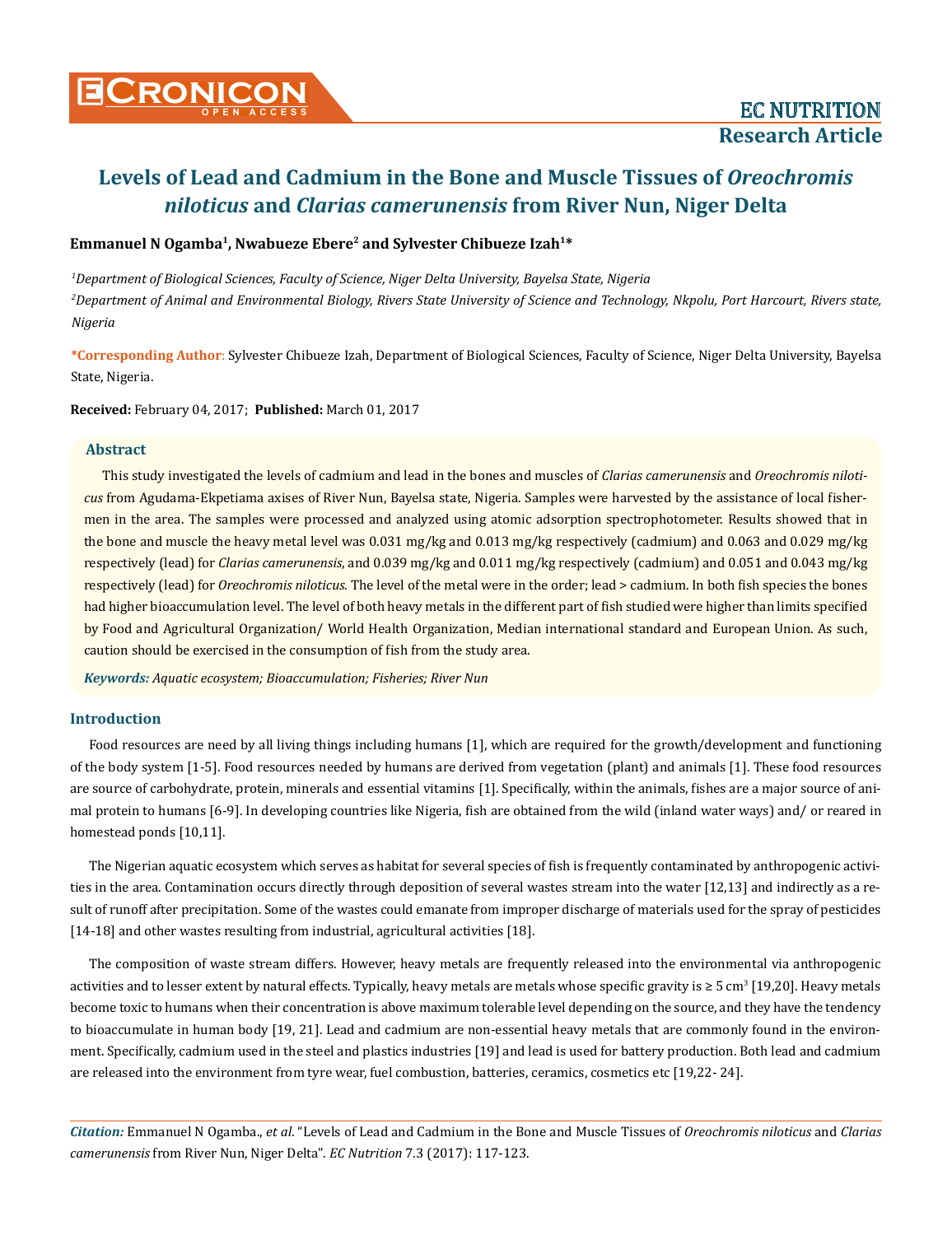### Emmanuel N Ogamba<sup>1</sup>, Nwabueze Ebere<sup>2</sup> and Sylvester Chibueze Izah<sup>1\*</sup>

*1 Department of Biological Sciences, Faculty of Science, Niger Delta University, Bayelsa State, Nigeria 2 Department of Animal and Environmental Biology, Rivers State University of Science and Technology, Nkpolu, Port Harcourt, Rivers state, Nigeria*

**\*Corresponding Author**: Sylvester Chibueze Izah, Department of Biological Sciences, Faculty of Science, Niger Delta University, Bayelsa State, Nigeria.

**Received:** February 04, 2017; **Published:** March 01, 2017

### **Abstract**

This study investigated the levels of cadmium and lead in the bones and muscles of *Clarias camerunensis* and *Oreochromis niloticus* from Agudama-Ekpetiama axises of River Nun, Bayelsa state, Nigeria. Samples were harvested by the assistance of local fishermen in the area. The samples were processed and analyzed using atomic adsorption spectrophotometer. Results showed that in the bone and muscle the heavy metal level was 0.031 mg/kg and 0.013 mg/kg respectively (cadmium) and 0.063 and 0.029 mg/kg respectively (lead) for *Clarias camerunensis*, and 0.039 mg/kg and 0.011 mg/kg respectively (cadmium) and 0.051 and 0.043 mg/kg respectively (lead) for *Oreochromis niloticus*. The level of the metal were in the order; lead > cadmium. In both fish species the bones had higher bioaccumulation level. The level of both heavy metals in the different part of fish studied were higher than limits specified by Food and Agricultural Organization/ World Health Organization, Median international standard and European Union. As such, caution should be exercised in the consumption of fish from the study area.

*Keywords: Aquatic ecosystem; Bioaccumulation; Fisheries; River Nun*

### **Introduction**

Food resources are need by all living things including humans [1], which are required for the growth/development and functioning of the body system [1-5]. Food resources needed by humans are derived from vegetation (plant) and animals [1]. These food resources are source of carbohydrate, protein, minerals and essential vitamins [1]. Specifically, within the animals, fishes are a major source of animal protein to humans [6-9]. In developing countries like Nigeria, fish are obtained from the wild (inland water ways) and/ or reared in homestead ponds [10,11].

The Nigerian aquatic ecosystem which serves as habitat for several species of fish is frequently contaminated by anthropogenic activities in the area. Contamination occurs directly through deposition of several wastes stream into the water [12,13] and indirectly as a result of runoff after precipitation. Some of the wastes could emanate from improper discharge of materials used for the spray of pesticides [14-18] and other wastes resulting from industrial, agricultural activities [18].

The composition of waste stream differs. However, heavy metals are frequently released into the environmental via anthropogenic activities and to lesser extent by natural effects. Typically, heavy metals are metals whose specific gravity is  $\geq 5$  cm<sup>3</sup> [19,20]. Heavy metals become toxic to humans when their concentration is above maximum tolerable level depending on the source, and they have the tendency to bioaccumulate in human body [19, 21]. Lead and cadmium are non-essential heavy metals that are commonly found in the environment. Specifically, cadmium used in the steel and plastics industries [19] and lead is used for battery production. Both lead and cadmium are released into the environment from tyre wear, fuel combustion, batteries, ceramics, cosmetics etc [19,22- 24].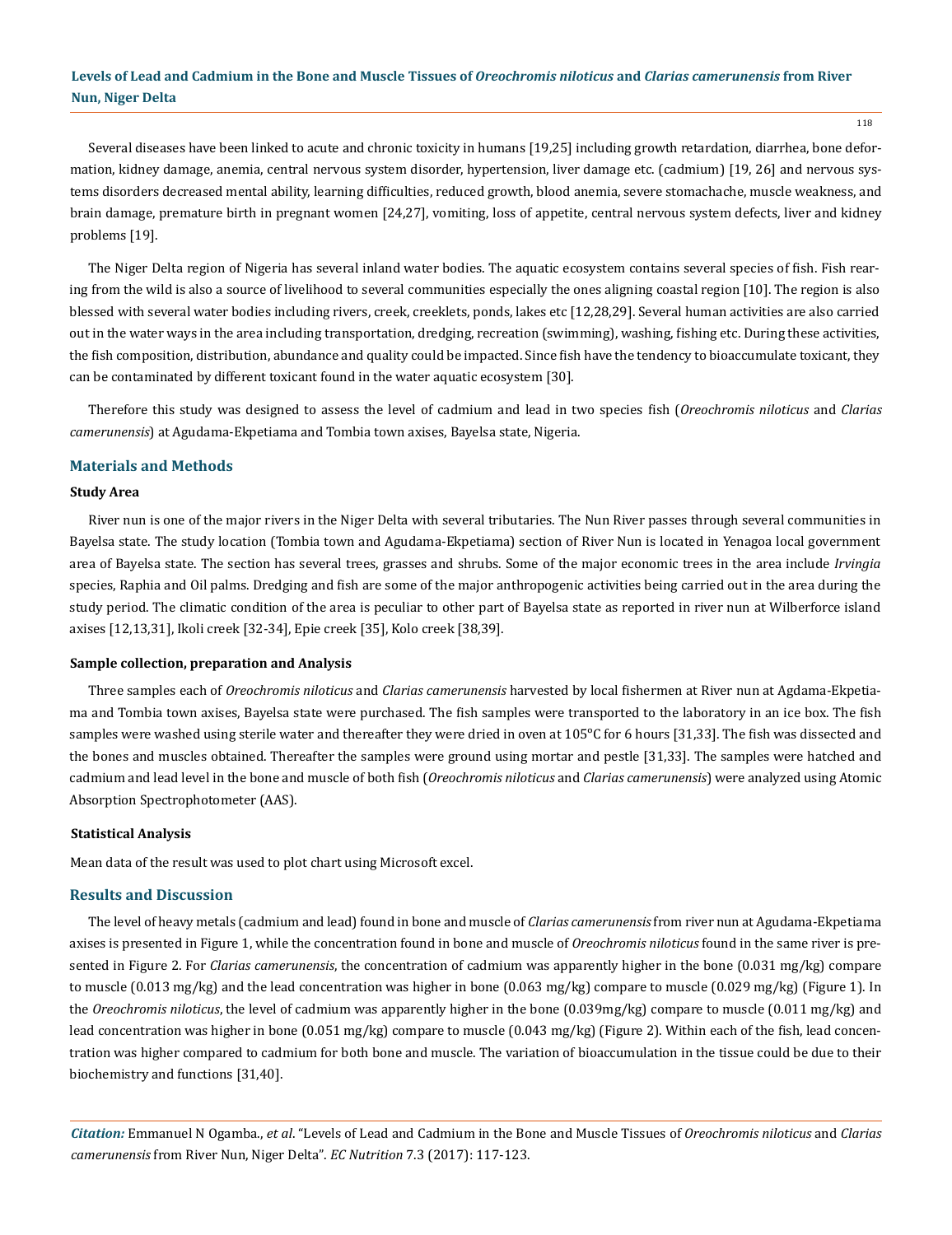118

Several diseases have been linked to acute and chronic toxicity in humans [19,25] including growth retardation, diarrhea, bone deformation, kidney damage, anemia, central nervous system disorder, hypertension, liver damage etc. (cadmium) [19, 26] and nervous systems disorders decreased mental ability, learning difficulties, reduced growth, blood anemia, severe stomachache, muscle weakness, and brain damage, premature birth in pregnant women [24,27], vomiting, loss of appetite, central nervous system defects, liver and kidney problems [19].

The Niger Delta region of Nigeria has several inland water bodies. The aquatic ecosystem contains several species of fish. Fish rearing from the wild is also a source of livelihood to several communities especially the ones aligning coastal region [10]. The region is also blessed with several water bodies including rivers, creek, creeklets, ponds, lakes etc [12,28,29]. Several human activities are also carried out in the water ways in the area including transportation, dredging, recreation (swimming), washing, fishing etc. During these activities, the fish composition, distribution, abundance and quality could be impacted. Since fish have the tendency to bioaccumulate toxicant, they can be contaminated by different toxicant found in the water aquatic ecosystem [30].

Therefore this study was designed to assess the level of cadmium and lead in two species fish (*Oreochromis niloticus* and *Clarias camerunensis*) at Agudama-Ekpetiama and Tombia town axises, Bayelsa state, Nigeria.

### **Materials and Methods**

#### **Study Area**

River nun is one of the major rivers in the Niger Delta with several tributaries. The Nun River passes through several communities in Bayelsa state. The study location (Tombia town and Agudama-Ekpetiama) section of River Nun is located in Yenagoa local government area of Bayelsa state. The section has several trees, grasses and shrubs. Some of the major economic trees in the area include *Irvingia*  species, Raphia and Oil palms. Dredging and fish are some of the major anthropogenic activities being carried out in the area during the study period. The climatic condition of the area is peculiar to other part of Bayelsa state as reported in river nun at Wilberforce island axises [12,13,31], Ikoli creek [32-34], Epie creek [35], Kolo creek [38,39].

#### **Sample collection, preparation and Analysis**

Three samples each of *Oreochromis niloticus* and *Clarias camerunensis* harvested by local fishermen at River nun at Agdama-Ekpetiama and Tombia town axises, Bayelsa state were purchased. The fish samples were transported to the laboratory in an ice box. The fish samples were washed using sterile water and thereafter they were dried in oven at 105°C for 6 hours [31,33]. The fish was dissected and the bones and muscles obtained. Thereafter the samples were ground using mortar and pestle [31,33]. The samples were hatched and cadmium and lead level in the bone and muscle of both fish (*Oreochromis niloticus* and *Clarias camerunensis*) were analyzed using Atomic Absorption Spectrophotometer (AAS).

#### **Statistical Analysis**

Mean data of the result was used to plot chart using Microsoft excel.

### **Results and Discussion**

The level of heavy metals (cadmium and lead) found in bone and muscle of *Clarias camerunensis* from river nun at Agudama-Ekpetiama axises is presented in Figure 1, while the concentration found in bone and muscle of *Oreochromis niloticus* found in the same river is presented in Figure 2. For *Clarias camerunensis*, the concentration of cadmium was apparently higher in the bone (0.031 mg/kg) compare to muscle (0.013 mg/kg) and the lead concentration was higher in bone (0.063 mg/kg) compare to muscle (0.029 mg/kg) (Figure 1). In the *Oreochromis niloticus*, the level of cadmium was apparently higher in the bone (0.039mg/kg) compare to muscle (0.011 mg/kg) and lead concentration was higher in bone (0.051 mg/kg) compare to muscle (0.043 mg/kg) (Figure 2). Within each of the fish, lead concentration was higher compared to cadmium for both bone and muscle. The variation of bioaccumulation in the tissue could be due to their biochemistry and functions [31,40].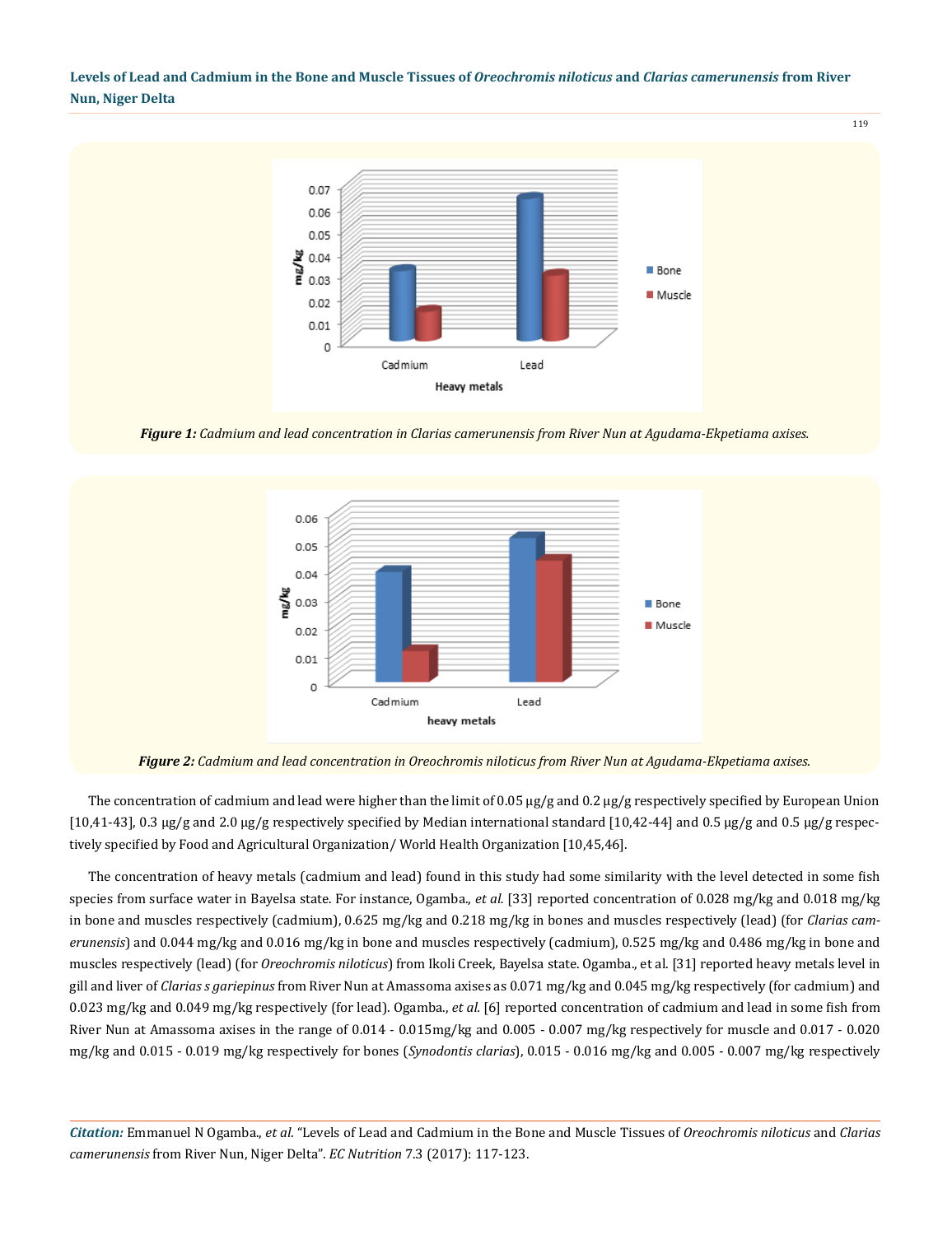

*Figure 1: Cadmium and lead concentration in Clarias camerunensis from River Nun at Agudama-Ekpetiama axises.*



*Figure 2: Cadmium and lead concentration in Oreochromis niloticus from River Nun at Agudama-Ekpetiama axises.*

The concentration of cadmium and lead were higher than the limit of 0.05  $\mu$ g/g and 0.2  $\mu$ g/g respectively specified by European Union [10,41-43], 0.3 µg/g and 2.0 µg/g respectively specified by Median international standard [10,42-44] and 0.5 µg/g and 0.5 µg/g respectively specified by Food and Agricultural Organization/ World Health Organization [10,45,46].

The concentration of heavy metals (cadmium and lead) found in this study had some similarity with the level detected in some fish species from surface water in Bayelsa state. For instance, Ogamba., *et al.* [33] reported concentration of 0.028 mg/kg and 0.018 mg/kg in bone and muscles respectively (cadmium), 0.625 mg/kg and 0.218 mg/kg in bones and muscles respectively (lead) (for *Clarias camerunensis*) and 0.044 mg/kg and 0.016 mg/kg in bone and muscles respectively (cadmium), 0.525 mg/kg and 0.486 mg/kg in bone and muscles respectively (lead) (for *Oreochromis niloticus*) from Ikoli Creek, Bayelsa state. Ogamba., et al. [31] reported heavy metals level in gill and liver of *Clarias s gariepinus* from River Nun at Amassoma axises as 0.071 mg/kg and 0.045 mg/kg respectively (for cadmium) and 0.023 mg/kg and 0.049 mg/kg respectively (for lead). Ogamba., *et al.* [6] reported concentration of cadmium and lead in some fish from River Nun at Amassoma axises in the range of 0.014 - 0.015mg/kg and 0.005 - 0.007 mg/kg respectively for muscle and 0.017 - 0.020 mg/kg and 0.015 - 0.019 mg/kg respectively for bones (*Synodontis clarias*), 0.015 - 0.016 mg/kg and 0.005 - 0.007 mg/kg respectively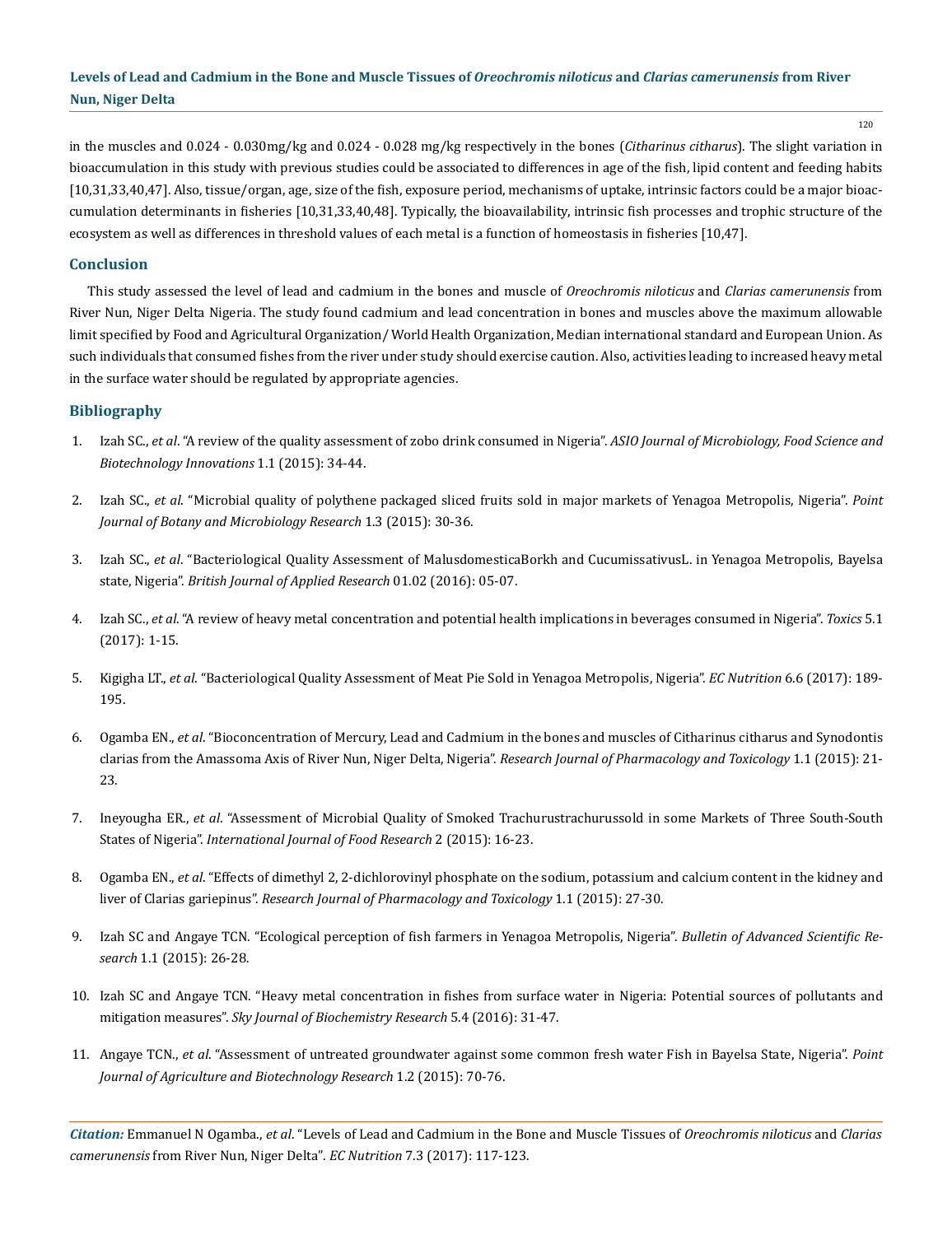120

in the muscles and 0.024 - 0.030mg/kg and 0.024 - 0.028 mg/kg respectively in the bones (*Citharinus citharus*). The slight variation in bioaccumulation in this study with previous studies could be associated to differences in age of the fish, lipid content and feeding habits [10,31,33,40,47]. Also, tissue/organ, age, size of the fish, exposure period, mechanisms of uptake, intrinsic factors could be a major bioaccumulation determinants in fisheries [10,31,33,40,48]. Typically, the bioavailability, intrinsic fish processes and trophic structure of the ecosystem as well as differences in threshold values of each metal is a function of homeostasis in fisheries [10,47].

### **Conclusion**

This study assessed the level of lead and cadmium in the bones and muscle of *Oreochromis niloticus* and *Clarias camerunensis* from River Nun, Niger Delta Nigeria. The study found cadmium and lead concentration in bones and muscles above the maximum allowable limit specified by Food and Agricultural Organization/ World Health Organization, Median international standard and European Union. As such individuals that consumed fishes from the river under study should exercise caution. Also, activities leading to increased heavy metal in the surface water should be regulated by appropriate agencies.

### **Bibliography**

- 1. Izah SC., *et al*[. "A review of the quality assessment of zobo drink consumed in Nigeria".](https://www.researchgate.net/publication/298807704_A_REVIEW_OF_THE_QUALITY_ASSESSMENT_OF_ZOBO_DRINK_CONSUMED_IN_NIGERIA) *ASIO Journal of Microbiology, Food Science and [Biotechnology Innovations](https://www.researchgate.net/publication/298807704_A_REVIEW_OF_THE_QUALITY_ASSESSMENT_OF_ZOBO_DRINK_CONSUMED_IN_NIGERIA)* 1.1 (2015): 34-44.
- 2. Izah SC., *et al*[. "Microbial quality of polythene packaged sliced fruits sold in major markets of Yenagoa Metropolis, Nigeria".](https://www.researchgate.net/publication/284958711_Microbial_quality_of_polythene_packaged_sliced_fruits_sold_in_major_markets_of_Yenagoa_Metropolis_Nigeria) *Point [Journal of Botany and Microbiology Research](https://www.researchgate.net/publication/284958711_Microbial_quality_of_polythene_packaged_sliced_fruits_sold_in_major_markets_of_Yenagoa_Metropolis_Nigeria)* 1.3 (2015): 30-36.
- 3. Izah SC., *et al*[. "Bacteriological Quality Assessment of MalusdomesticaBorkh and CucumissativusL. in Yenagoa Metropolis, Bayelsa](http://measpublishing.co.uk/journals/bjar/Papers/Press/BJAR2411274.pdf)  state, Nigeria". *[British Journal of Applied Research](http://measpublishing.co.uk/journals/bjar/Papers/Press/BJAR2411274.pdf)* 01.02 (2016): 05-07.
- 4. Izah SC., *et al*[. "A review of heavy metal concentration and potential health implications in beverages consumed in Nigeria".](http://www.mdpi.com/2305-6304/5/1/1/pdf) *Toxics* 5.1 [\(2017\): 1-15.](http://www.mdpi.com/2305-6304/5/1/1/pdf)
- 5. Kigigha LT., *et al*[. "Bacteriological Quality Assessment of Meat Pie Sold in Yenagoa Metropolis, Nigeria".](https://ecronicon.com/ecnu/pdf/ECNU-06-0000211.pdf) *EC Nutrition* 6.6 (2017): 189- [195.](https://ecronicon.com/ecnu/pdf/ECNU-06-0000211.pdf)
- 6. Ogamba EN., *et al*[. "Bioconcentration of Mercury, Lead and Cadmium in the bones and muscles of Citharinus citharus and Synodontis](http://asdpub.com/index.php/rjpt/article/view/171) [clarias from the Amassoma Axis of River Nun, Niger Delta, Nigeria".](http://asdpub.com/index.php/rjpt/article/view/171) *Research Journal of Pharmacology and Toxicology* 1.1 (2015): 21- [23.](http://asdpub.com/index.php/rjpt/article/view/171)
- 7. Ineyougha ER., *et al*[. "Assessment of Microbial Quality of Smoked Trachurustrachurussold in some Markets of Three South-South](http://www.bluepenjournals.org/ijfr/pdf/2015/June/Ineyougha_et_al.pdf)  States of Nigeria". *[International Journal of Food Research](http://www.bluepenjournals.org/ijfr/pdf/2015/June/Ineyougha_et_al.pdf)* 2 (2015): 16-23.
- 8. Ogamba EN., *et al*[. "Effects of dimethyl 2, 2-dichlorovinyl phosphate on the sodium, potassium and calcium content in the kidney and](http://asdpub.com/index.php/rjpt/article/view/212)  liver of Clarias gariepinus". *[Research Journal of Pharmacology and Toxicology](http://asdpub.com/index.php/rjpt/article/view/212)* 1.1 (2015): 27-30.
- 9. [Izah SC and Angaye TCN. "Ecological perception of fish farmers in Yenagoa Metropolis, Nigeria".](http://asdpub.com/index.php/basr/article/view/131/22) *Bulletin of Advanced Scientific Research* [1.1 \(2015\): 26-28.](http://asdpub.com/index.php/basr/article/view/131/22)
- 10. [Izah SC and Angaye TCN. "Heavy metal concentration in fishes from surface water in Nigeria: Potential sources of pollutants and](http://www.skyjournals.org/sjbr/pdf/2016pdf/Sept/Izah%20and%20Angaye%20pdf.pdf)  mitigation measures". *[Sky Journal of Biochemistry Research](http://www.skyjournals.org/sjbr/pdf/2016pdf/Sept/Izah%20and%20Angaye%20pdf.pdf)* 5.4 (2016): 31-47.
- 11. Angaye TCN., *et al*[. "Assessment of untreated groundwater against some common fresh water Fish in Bayelsa State, Nigeria".](http://www.pjournals.org/PJABR/018h.pdf) *Point [Journal of Agriculture and Biotechnology Research](http://www.pjournals.org/PJABR/018h.pdf)* 1.2 (2015): 70-76.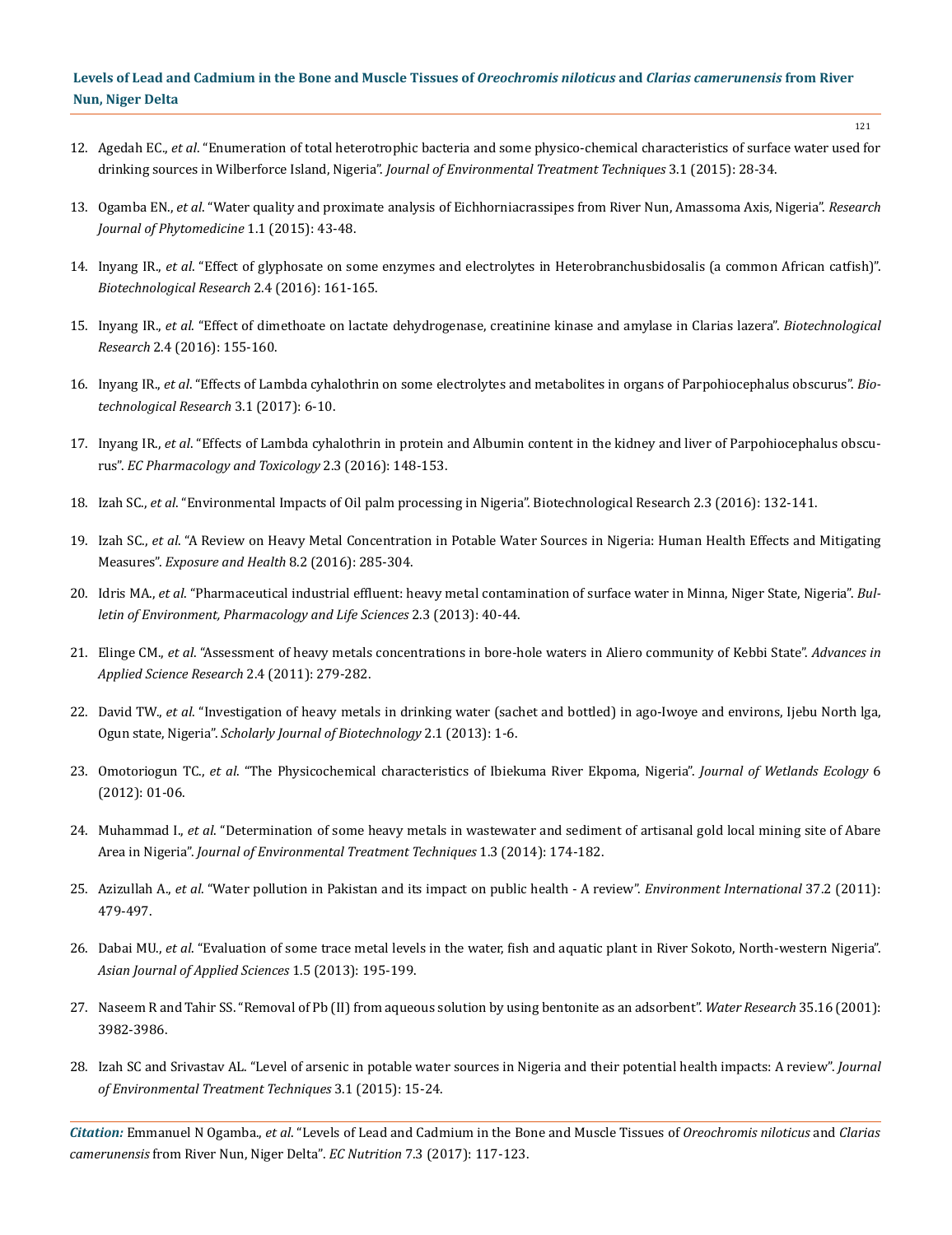- 12. Agedah EC., *et al*[. "Enumeration of total heterotrophic bacteria and some physico-chemical characteristics of surface water used for](http://jett.dormaj.com/docs/Volume3/Issue%201/Enumeration%20of%20Total%20Heterotrophic%20Bacteria%20and%20Some%20Physico-Chemical%20Characteristics%20of%20Surface%20Water%20Used%20for%20Drinking%20Sources%20in%20Wilberforce%20Island,%20Nigeria.pdf)  drinking sources in Wilberforce Island, Nigeria". *[Journal of Environmental Treatment Techniques](http://jett.dormaj.com/docs/Volume3/Issue%201/Enumeration%20of%20Total%20Heterotrophic%20Bacteria%20and%20Some%20Physico-Chemical%20Characteristics%20of%20Surface%20Water%20Used%20for%20Drinking%20Sources%20in%20Wilberforce%20Island,%20Nigeria.pdf)* 3.1 (2015): 28-34.
- 13. Ogamba EN., *et al*[. "Water quality and proximate analysis of Eichhorniacrassipes from River Nun, Amassoma Axis, Nigeria".](http://asdpub.com/index.php/rjp/article/view/151) *Research [Journal of Phytomedicine](http://asdpub.com/index.php/rjp/article/view/151)* 1.1 (2015): 43-48.
- 14. Inyang IR., *et al*[. "Effect of glyphosate on some enzymes and electrolytes in Heterobranchusbidosalis \(a common African catfish\)".](http://biotechnologicalresearch.com/index.php/BR/article/download/28/27)  *[Biotechnological Research](http://biotechnologicalresearch.com/index.php/BR/article/download/28/27)* 2.4 (2016): 161-165.
- 15. Inyang IR., *et al*[. "Effect of dimethoate on lactate dehydrogenase, creatinine kinase and amylase in Clarias lazera".](http://biotechnologicalresearch.com/index.php/BR/article/view/27) *Biotechnological Research* [2.4 \(2016\): 155-160.](http://biotechnologicalresearch.com/index.php/BR/article/view/27)
- 16. Inyang IR., *et al*[. "Effects of Lambda cyhalothrin on some electrolytes and metabolites in organs of Parpohiocephalus obscurus".](http://biotechnologicalresearch.com/index.php/BR/article/download/49/47) *Bio[technological Research](http://biotechnologicalresearch.com/index.php/BR/article/download/49/47)* 3.1 (2017): 6-10.
- 17. Inyang IR., *et al*[. "Effects of Lambda cyhalothrin in protein and Albumin content in the kidney and liver of Parpohiocephalus obscu](https://www.ecronicon.com/ecpt/pdf/ECPT-02-000024.pdf)rus". *[EC Pharmacology and Toxicology](https://www.ecronicon.com/ecpt/pdf/ECPT-02-000024.pdf)* 2.3 (2016): 148-153.
- 18. Izah SC., *et al*[. "Environmental Impacts of Oil palm processing in Nigeria". Biotechnological Research 2.3 \(2016\): 132-141](http://biotechnologicalresearch.com/index.php/BR/article/download/39/38).
- 19. Izah SC., *et al*[. "A Review on Heavy Metal Concentration in Potable Water Sources in Nigeria: Human Health Effects and Mitigating](http://link.springer.com/article/10.1007/s12403-016-0195-9)  Measures". *[Exposure and Health](http://link.springer.com/article/10.1007/s12403-016-0195-9)* 8.2 (2016): 285-304.
- 20. Idris MA., *et al*[. "Pharmaceutical industrial effluent: heavy metal contamination of surface water in Minna, Niger State, Nigeria".](http://www.bepls.com/feb_2013/7.pdf) *Bul[letin of Environment, Pharmacology and Life Sciences](http://www.bepls.com/feb_2013/7.pdf)* 2.3 (2013): 40-44.
- 21. Elinge CM., *et al*[. "Assessment of heavy metals concentrations in bore-hole waters in Aliero community of Kebbi State".](http://www.imedpub.com/articles/assessment-of-heavy-metals-concentrations-in-borehole-waters-in-aliero-community-of-kebbi-state.pdf) *Advances in [Applied Science Research](http://www.imedpub.com/articles/assessment-of-heavy-metals-concentrations-in-borehole-waters-in-aliero-community-of-kebbi-state.pdf)* 2.4 (2011): 279-282.
- 22. David TW., *et al*[. "Investigation of heavy metals in drinking water \(sachet and bottled\) in ago-Iwoye and environs, Ijebu North lga,](http://www.scholarly-journals.com/sjb/archive/2013/jan/pdf/David%20et%20al.pdf)  Ogun state, Nigeria". *[Scholarly Journal of Biotechnology](http://www.scholarly-journals.com/sjb/archive/2013/jan/pdf/David%20et%20al.pdf)* 2.1 (2013): 1-6.
- 23. Omotoriogun TC., *et al*[. "The Physicochemical characteristics of Ibiekuma River Ekpoma, Nigeria".](http://www.nepjol.info/index.php/JOWE/article/view/5242) *Journal of Wetlands Ecology* 6 [\(2012\): 01-06.](http://www.nepjol.info/index.php/JOWE/article/view/5242)
- 24. Muhammad I., *et al*. "Determination of some heavy metals in wastewater and sediment of artisanal gold local mining site of Abare Area in Nigeria". *Journal of Environmental Treatment Techniques* 1.3 (2014): 174-182.
- 25. Azizullah A., *et al*[. "Water pollution in Pakistan and its impact on public health A review".](https://www.ncbi.nlm.nih.gov/pubmed/21087795) *Environment International* 37.2 (2011): [479-497.](https://www.ncbi.nlm.nih.gov/pubmed/21087795)
- 26. Dabai MU., *et al*[. "Evaluation of some trace metal levels in the water, fish and aquatic plant in River Sokoto, North-western Nigeria".](http://ajouronline.com/index.php/AJAS/article/view/601)  *[Asian Journal of Applied Sciences](http://ajouronline.com/index.php/AJAS/article/view/601)* 1.5 (2013): 195-199.
- 27. [Naseem R and Tahir SS. "Removal of Pb \(II\) from aqueous solution by using bentonite as an adsorbent".](https://www.ncbi.nlm.nih.gov/pubmed/12230182) *Water Research* 35.16 (2001): [3982-3986.](https://www.ncbi.nlm.nih.gov/pubmed/12230182)
- 28. [Izah SC and Srivastav AL. "Level of arsenic in potable water sources in Nigeria and their potential health impacts: A review".](http://jett.dormaj.com/docs/Volume3/Issue%201/html/Level%20of%20arsenic%20in%20potable%20water%20sources%20in%20Nigeria%20and%20their%20potential%20health%20impacts%20A%20review.htm) *Journal [of Environmental Treatment Techniques](http://jett.dormaj.com/docs/Volume3/Issue%201/html/Level%20of%20arsenic%20in%20potable%20water%20sources%20in%20Nigeria%20and%20their%20potential%20health%20impacts%20A%20review.htm)* 3.1 (2015): 15-24.

*Citation:* Emmanuel N Ogamba., *et al*. "Levels of Lead and Cadmium in the Bone and Muscle Tissues of *Oreochromis niloticus* and *Clarias camerunensis* from River Nun, Niger Delta". *EC Nutrition* 7.3 (2017): 117-123.

121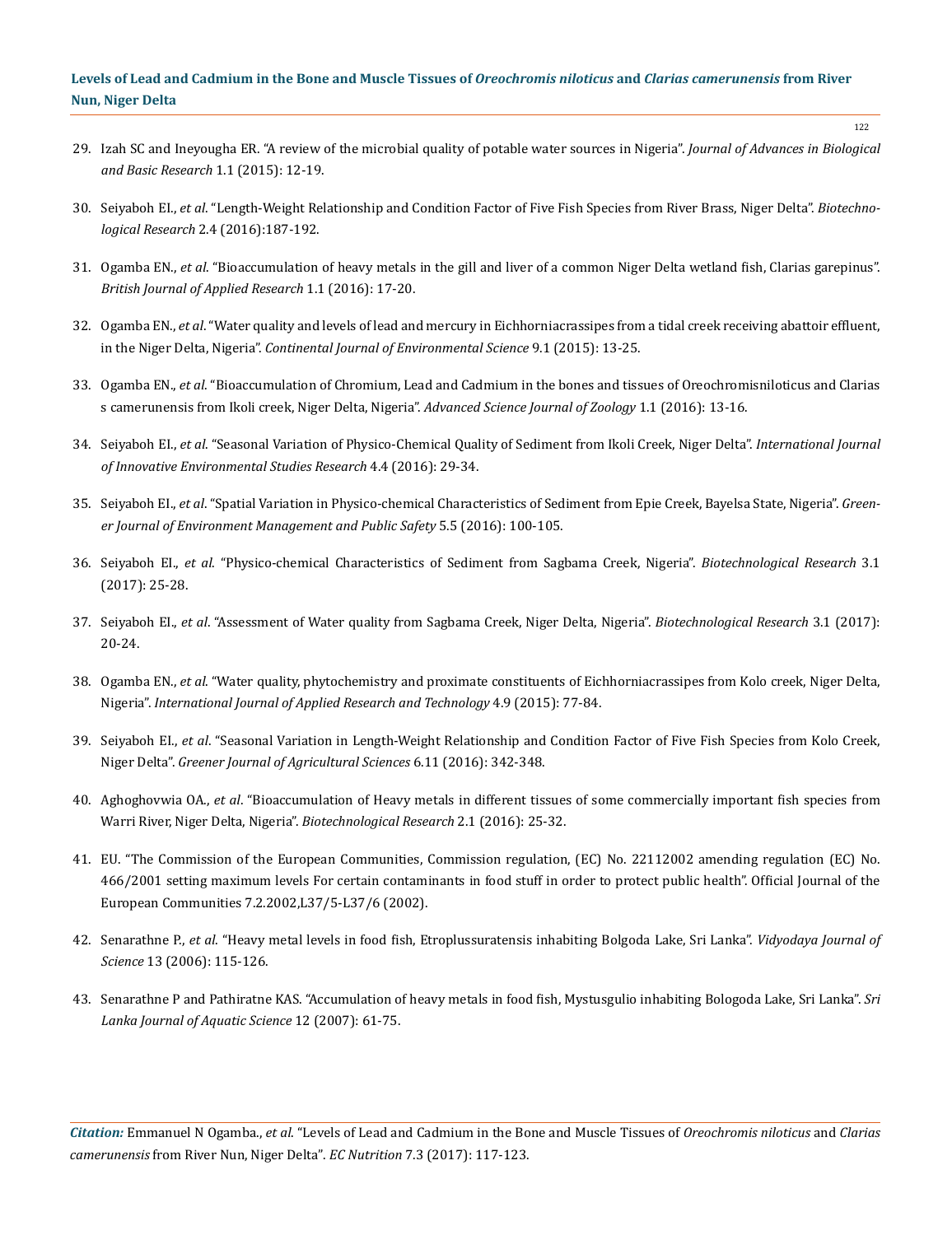- 29. [Izah SC and Ineyougha ER. "A review of the microbial quality of potable water sources in Nigeria".](http://asdpub.com/index.php/jabbr/article/view/144) *Journal of Advances in Biological [and Basic Research](http://asdpub.com/index.php/jabbr/article/view/144)* 1.1 (2015): 12-19.
- 30. Seiyaboh EI., *et al*[. "Length-Weight Relationship and Condition Factor of Five Fish Species from River Brass, Niger Delta".](http://biotechnologicalresearch.com/index.php/BR/article/download/46/44) *Biotechnological Research* [2.4 \(2016\):187-192.](http://biotechnologicalresearch.com/index.php/BR/article/download/46/44)
- 31. Ogamba EN., *et al*[. "Bioaccumulation of heavy metals in the gill and liver of a common Niger Delta wetland fish, Clarias garepinus".](http://measpublishing.co.uk/journals/bjar/Papers/Press/BJAR2810259.pdf) *[British Journal of Applied Research](http://measpublishing.co.uk/journals/bjar/Papers/Press/BJAR2810259.pdf)* 1.1 (2016): 17-20.
- 32. Ogamba EN., *et al*[. "Water quality and levels of lead and mercury in Eichhorniacrassipes from a tidal creek receiving abattoir effluent,](http://www.academia.edu/26124072/WATER_QUALITY_AND_LEVELS_OF_LEAD_AND_MERCURY_IN_Eichhornia_crassipes_FROM_A_TIDAL_CREEK_RECEIVING_ABATTOIR_EFFLUENT_IN_THE_NIGER_DELTA_NIGERIA_-_Emmanuel_N._Ogamba_Sylvester_Chibueze_Izah_and_Benjamin_Pinamobowei_Toikumo) in the Niger Delta, Nigeria". *[Continental Journal of Environmental Science](http://www.academia.edu/26124072/WATER_QUALITY_AND_LEVELS_OF_LEAD_AND_MERCURY_IN_Eichhornia_crassipes_FROM_A_TIDAL_CREEK_RECEIVING_ABATTOIR_EFFLUENT_IN_THE_NIGER_DELTA_NIGERIA_-_Emmanuel_N._Ogamba_Sylvester_Chibueze_Izah_and_Benjamin_Pinamobowei_Toikumo)* 9.1 (2015): 13-25.
- 33. Ogamba EN., *et al*[. "Bioaccumulation of Chromium, Lead and Cadmium in the bones and tissues of Oreochromisniloticus and Clarias](http://learnconnect24.com/assets/uploads/libraries/Bioaccumulation_of_Chromium,_Lead_and_Cadmium_in_the_bones_and_tissues_of_Oreochromis_niloticus_and_Clarias_camerunensis_from_Ikoli_creek,_Niger_Delta,_Nigeria.pdf) [s camerunensis from Ikoli creek, Niger Delta, Nigeria".](http://learnconnect24.com/assets/uploads/libraries/Bioaccumulation_of_Chromium,_Lead_and_Cadmium_in_the_bones_and_tissues_of_Oreochromis_niloticus_and_Clarias_camerunensis_from_Ikoli_creek,_Niger_Delta,_Nigeria.pdf) *Advanced Science Journal of Zoology* 1.1 (2016): 13-16.
- 34. Seiyaboh EI., *et al*[. "Seasonal Variation of Physico-Chemical Quality of Sediment from Ikoli Creek, Niger Delta".](http://seahipaj.org/journals-ci/dec-2016/IJIESR/full/IJIESR-D-4-2016.pdf) *International Journal [of Innovative Environmental Studies Research](http://seahipaj.org/journals-ci/dec-2016/IJIESR/full/IJIESR-D-4-2016.pdf)* 4.4 (2016): 29-34.
- 35. Seiyaboh EI., *et al*[. "Spatial Variation in Physico-chemical Characteristics of Sediment from Epie Creek, Bayelsa State, Nigeria".](http://gjournals.org/GJEMPS/Publication/2016/December/HTML/121616214%20Seiyaboh%20et%20al.htm) *Green[er Journal of Environment Management and Public Safety](http://gjournals.org/GJEMPS/Publication/2016/December/HTML/121616214%20Seiyaboh%20et%20al.htm)* 5.5 (2016): 100-105.
- 36. Seiyaboh EI., *et al*[. "Physico-chemical Characteristics of Sediment from Sagbama Creek, Nigeria".](http://biotechnologicalresearch.com/index.php/BR/article/download/53/51) *Biotechnological Research* 3.1 [\(2017\): 25-28.](http://biotechnologicalresearch.com/index.php/BR/article/download/53/51)
- 37. Seiyaboh EI., *et al*[. "Assessment of Water quality from Sagbama Creek, Niger Delta, Nigeria".](http://biotechnologicalresearch.com/index.php/BR/article/download/52/50) *Biotechnological Research* 3.1 (2017): [20-24.](http://biotechnologicalresearch.com/index.php/BR/article/download/52/50)
- 38. Ogamba EN., *et al*. "Water quality, phytochemistry and proximate constituents of Eichhorniacrassipes from Kolo creek, Niger Delta, Nigeria". *International Journal of Applied Research and Technology* 4.9 (2015): 77-84.
- 39. Seiyaboh EI., *et al*[. "Seasonal Variation in Length-Weight Relationship and Condition Factor of Five Fish Species from Kolo Creek,](http://gjournals.org/GJAS/archive/dec-2016-vol-611/seiyaboh-et-al.html) Niger Delta". *[Greener Journal of Agricultural Sciences](http://gjournals.org/GJAS/archive/dec-2016-vol-611/seiyaboh-et-al.html)* 6.11 (2016): 342-348.
- 40. Aghoghovwia OA., *et al*[. "Bioaccumulation of Heavy metals in different tissues of some commercially important fish species from](http://biotechnologicalresearch.com/index.php/BR/article/download/20/19) [Warri River, Niger Delta, Nigeria".](http://biotechnologicalresearch.com/index.php/BR/article/download/20/19) *Biotechnological Research* 2.1 (2016): 25-32.
- 41. EU. "The Commission of the European Communities, Commission regulation, (EC) No. 22112002 amending regulation (EC) No. 466/2001 setting maximum levels For certain contaminants in food stuff in order to protect public health". Official Journal of the European Communities 7.2.2002,L37/5-L37/6 (2002).
- 42. Senarathne P., *et al*[. "Heavy metal levels in food fish, Etroplussuratensis inhabiting Bolgoda Lake, Sri Lanka".](http://dr.lib.sjp.ac.lk/bitstream/123456789/1053/1/Heavy%20metal%20levels%20in%20food%20fish.pdf) *Vidyodaya Journal of Science* [13 \(2006\): 115-126.](http://dr.lib.sjp.ac.lk/bitstream/123456789/1053/1/Heavy%20metal%20levels%20in%20food%20fish.pdf)
- 43. [Senarathne P and Pathiratne KAS. "Accumulation of heavy metals in food fish, Mystusgulio inhabiting Bologoda Lake, Sri Lanka".](http://repository.kln.ac.lk/xmlui/bitstream/handle/123456789/8920/2007-1.pdf;sequence=1) *Sri [Lanka Journal of Aquatic Science](http://repository.kln.ac.lk/xmlui/bitstream/handle/123456789/8920/2007-1.pdf;sequence=1)* 12 (2007): 61-75.

*Citation:* Emmanuel N Ogamba., *et al*. "Levels of Lead and Cadmium in the Bone and Muscle Tissues of *Oreochromis niloticus* and *Clarias camerunensis* from River Nun, Niger Delta". *EC Nutrition* 7.3 (2017): 117-123.

122